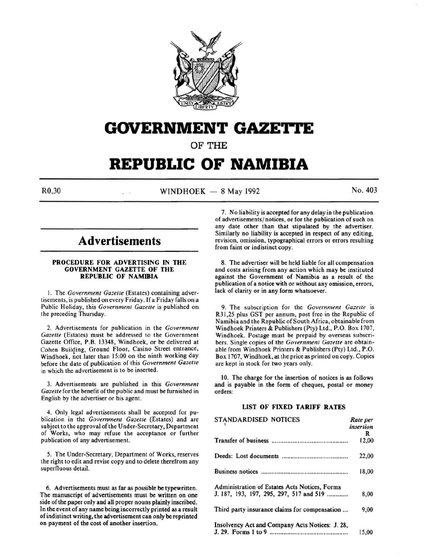

# **GOVERNMENT GAZETtE**

OF THE

# **REPUBLIC OF NAMIBIA**

 $R0,30$  No. 403

# **Advertisements**

# PROCEDURE FOR ADVERTISING IN THE GOVERNMENT GAZETTE OF THE REPUBLIC OF NAMIBIA

I. The *Government Gazelle* (Estates) containing advertisements, is published on every Friday. If a Friday falls on a Public Holiday, this *Government Gazelle* is published on the preceding Thursday.

2. Advertisements for publication in the *Government Gazelle* (Estates) must be addressed to the Government Gazette Office, P.B. 13348, Windhoek, or be delivered at Cohen Building, Ground Floor, Casino Street entrance, Windhoek, not later than 15:00 on the ninth working day before the date of publication of this *Government Gazette*  in which the advertisement is to be inserted.

3. Advertisements are published in this *Government*  Gazette for the benefit of the public and must be furnished in English by the advertiser or his agent.

4. Only legal advertisements shall be accepted for publication in the *Government Gazette* (Estates) and are subject to the approval of the Under-Secretary, Department of Works, who may refuse the acceptance or further publication of any advertisement.

*5.* The Under-Secretary, Department of Works, reserves the right to edit and revise copy and to delete therefrom any superfluous detail.

6. Advertisements must as far as possible be typewritten. The manuscript of advertisements must be written on one side of the paper only and all proper nouns plainly inscribed. In the event of any name being incorrectly printed as a result of indistinct writing, the advertisement can only be reprinted on payment of the cost of another insertion.

7. No liability is accepted for any delay in the publication of advertisements/ notices, or for the publication of such on any date other than that stipulated by the advertiser. Similarly no liability is accepted in respect of any editing, revision, omission, typographical errors or errors resulting from faint or indistinct copy.

8. The advertiser will be held liable for all compensation and costs arising from any action which may be instituted against the Government of Namibia as a result of the publication of a notice with or without any omission, errors, lack of clarity or in any form whatsoever.

9. The subscription for the *Government Gazelle* is R31 ,25 plus GST per annum, post free in the Republic of Namibia and the Republic of South Africa, obtainable from Windhoek Printers & Publishers (Pty) Ltd., P.O. Box 1707, Windhoek. Postage must be prepaid by overseas subscribers. Single copies of the *Government Gazette* are obtainable from Windhoek Printers & Publishers (Pty) Ltd., P.O. Box 1707, Windhoek, at the price as printed on copy. Copies are kept in stock for two years only.

10. The charge for the insertion of notices is as follows and is payable in the form of cheques, postal or money orders:

# LIST OF FIXED TARIFF RATES

| STANDARDISED NOTICES                            | Rate per<br>insertion |
|-------------------------------------------------|-----------------------|
|                                                 | R                     |
|                                                 | 12,00                 |
|                                                 | 22,00                 |
|                                                 | 18,00                 |
| Administration of Estates Acts Notices, Forms   |                       |
| J. 187, 193, 197, 295, 297, 517 and 519         | 8,00                  |
| Third party insurance claims for compensation   | 9,00                  |
| Insolvency Act and Company Acts Notices: J. 28, |                       |
|                                                 | 15,00                 |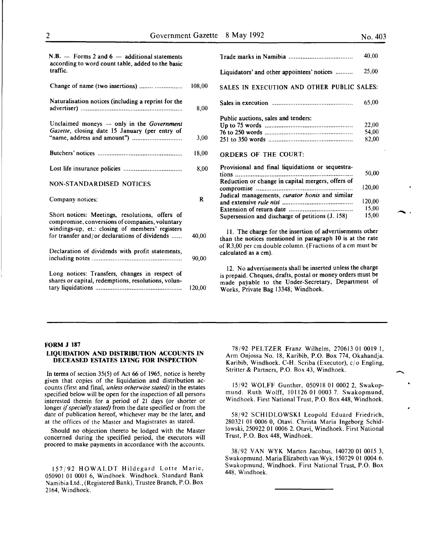$\blacktriangle$ .

 $\overline{\phantom{a}}$ 

| $N.B.$ - Forms 2 and 6 - additional statements<br>according to word count table, added to the basic<br>traffic. |        |
|-----------------------------------------------------------------------------------------------------------------|--------|
| Change of name (two insertions)                                                                                 | 108,00 |
| Naturalisation notices (including a reprint for the                                                             | 8,00   |
| Unclaimed moneys $-$ only in the Government<br>Gazette, closing date 15 January (per entry of                   | 3,00   |
|                                                                                                                 | 18,00  |
|                                                                                                                 | 8,00   |
| NON-STANDARDISED NOTICES                                                                                        |        |
|                                                                                                                 |        |
| Company notices:                                                                                                | R      |
| Short notices: Meetings, resolutions, offers of<br>compromise, conversions of companies, voluntary              |        |
| windings-up, et.: closing of members' registers<br>for transfer and/or declarations of dividends                | 40,00  |
| Declaration of dividends with profit statements,                                                                | 90,00  |
| Long notices: Transfers, changes in respect of<br>shares or capital, redemptions, resolutions, volun-           | 120.00 |

|                                                   | 40,00  |
|---------------------------------------------------|--------|
| Liquidators' and other appointees' notices        | 25,00  |
| SALES IN EXECUTION AND OTHER PUBLIC SALES:        |        |
|                                                   | 65,00  |
| Public auctions, sales and tenders:               |        |
|                                                   | 22,00  |
|                                                   | 54,00  |
|                                                   | 82.00  |
| <b>ORDERS OF THE COURT:</b>                       |        |
| Provisional and final liquidations or sequestra-  |        |
| tions                                             | 50,00  |
| Reduction or change in capital mergers, offers of |        |
|                                                   | 120,00 |
| Judical managements, curator bonis and similar    |        |
|                                                   | 120,00 |
|                                                   | 15,00  |
| Supersession and discharge of petitions (J. 158)  | 15,00  |
|                                                   |        |

II. The charge for the insertion of advertisements other than the notices mentioned in paragraph 10 is at the rate of R3,00 per em double column. (Fractions of a em must be calculated as a em).

12. No advertisements shall be inserted unless the charge is prepaid. Cheques, drafts, postal or money orders must be made payable to the Under-Secretary, Department of Works, Private Bag 13348; Windhoek.

#### FORM J 187

# LIQUIDATION AND DISTRIBUTION ACCOUNTS IN DECEASED ESTATES LYING FOR INSPECTION

In terms of section 35(5) of Act 66 of 1965, notice is hereby given that copies of the liquidation and distribution accounts (first and final, *unless otherwise stated)* in the estates specified below will be open for the inspection of all persons interested therein for a period of 21 days (or shorter or longer if *specially stated)* from the date specified or from the date of publication hereof, whichever may be the later, and at the offices of the Master and Magistrates as stated.

Should no objection thereto be lodged with the Master concerned during the specified period, the executors will proceed to make payments in accordance with the accounts.

157/92 HOWALDT Hildegard Lotte Marie, 050901 01 0001 6, Windhoek. Windhoek. Standard Bank Namibia Ltd., (Registered Bank), Trustee Branch, P.O. Box 2164, Windhoek.

78/92 PELTZER Franz Wilhelm, 270613 OJ 0019 I, Arm Onjossa No. 18, Karibib, P.O. Box 774, Okahandja. Karibib, Windhoek. C-H. Scriba (Executor), c/o Engling, Stritter & Partners, P.O. Box 43, Windhoek.

15/92 WOLFF Gunther, 050918 OJ 0002 2, Swakopmund. Ruth Wolff, 101126 OJ 0003 7. Swakopmund, Windhoek. First National Trust, P.O. Box 448, Windhoek.

58/92 SCHIDLOWSKl Leopold Eduard Friedrich, 280321 01 0006 0, Otavi. Christa Maria Ingeborg Schidlowski, 250922 OJ 0006 2. Otavi, Windhoek. First National Trust, P.O. Box 448, Windhoek.

38/92 .VAN WYK Marten Jacobus, 140720 01 0015 3, Swakopmund. Maria Elizabeth van Wyk, 150729 01 0004 6. Swakopmund, Windhoek. First National Trust, P.O. Box 448, Windhoek.

| I<br>٦ | ٦<br>۰.<br>۰. |  |  |
|--------|---------------|--|--|
|        |               |  |  |
|        |               |  |  |
|        |               |  |  |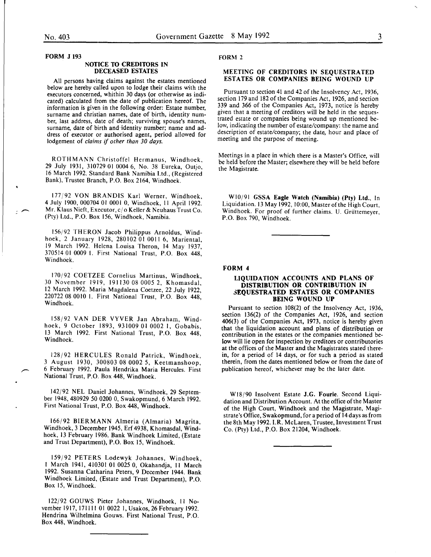FORM J 193

#### NOTICE TO CREDITORS IN DECEASED ESTATES

All persons having claims against the estates mentioned below are hereby called upon to lodge their claims with the executors concerned, whithin 30 days (or otherwise as indicated) calculated from the date of publication hereof. The information is given in the following order: Estate number, surname and christian names, date of birth, identity number, last address, date of death; surviving spouse's names, surname, date of birth and identity number; name and address of executor or authorised agent, period allowed for lodgement of *claims* if *other than 30 days.* 

ROTHMANN Christoffel Hermanus, Windhoek, 29 July 1931, 310729 01 0004 6, No. 38 Eureka, Outjo, 16 March 1992. Standard Bank Namibia Ltd., (Registered Bank), Trustee Branch, P.O. Box 2164, Windhoek.

177/92 VON BRANDIS Karl Werner, Windhoek, 4 July 1900, 000704 01 0001 0, Windhoek, 11 April 1992. Mr. Klaus Nieft, Executor, c/o Keller& Neuhaus Trust Co. (Pty) Ltd., P.O. Box 156, Windhoek, Namibia.

156/92 THERON Jacob Philippus Arnoldus, Windhoek, 2 January 1928, 280102 01 0011 6, Mariental, 19 March 1992. Helena Louisa Theron, 14 May 1937, 370514 01 0009 I. First National Trust, P.O. Box 448, Windhoek.

170/92 COETZEE Cornelius Martinus, Windhoek, 30 November 1919, 191130 08 0005 2, Khomasdal, 12 March 1992. Maria Magdalena Coetzee, 22 July 1922, 220722 08 0010 I. First National Trust, P.O. Box 448, Windhoek.

158/92 VANDER VYVER Jan Abraham, Windhoek, 9 October 1893, 931009 01 0002 I, Gobabis, 13 March 1992. First National Trust, P.O. Box 448, Windhoek.

128/92 HERCULES Ronald Patrick, Windhoek, 3 August 1930, 300803 08 0002 5, Keetmanshoop, 6 February 1992. Paula Hendrika Maria Hercules. First National Trust, P.O. Box 448, Windhoek.

142/92 NEL Daniel Johannes, Windhoek, 29 September 1948,480929 50 0200 0, Swakopmund, 6 March 1992. First National Trust, P.O. Box 448, Windhoek.

166/92 BIERMANN Almeria (Almaria) Magrita, Windhoek, 3 December 1945, Erf 4938, Khomasdal, Windhoek, 13 February 1986. Bank Windhoek Limited, (Estate and Trust Department), P.O. Box 15, Windhoek.

159/92 PETERS Lodewyk Johannes, Windhoek, March 1941, 410301 01 0025 0, Okahandja, 11 March 1992. Susanna Catharina Peters, 9 December 1944. Bank Windhoek Limited, (Estate and Trust Department), P.O. Box 15, Windhoek.

122/92 GOUWS Pieter Johannes, Windhoek, 11 November 1917, 171111 01 0022 1, Usakos, 26 February 1992. Hendrina Wilhelmina Gouws. First National Trust, P.O. Box 448, Windhoek.

#### FORM 2

### MEETING OF CREDITORS IN SEQUESTRATED ESTATES OR COMPANIES BEING WOUND UP

Pursuant to section 41 and 42 of the Insolvency Act, 1936, section 179 and 182 of the Companies Act, 1926, and section 339 and 366 of the Companies Act, 1973, notice is hereby given that a meeting of creditors will be held in the sequestrated estate or companies being wound up mentioned below, indicating the number of estate/company: the name and description of estate/company; the date, hour and place of meeting and the purpose of meeting.

Meetings in a place in which there is a Master's Office, will be held before the Master; elsewhere they will be held before the Magistrate.

WI0/91 GSSA Eagle Watch (Namibia) (Pty) Ltd., In Liquidation. 13 May 1992, 10:00, Master of the High Court, Windhoek. For proof of further claims. U. Grüttemeyer, P.O. Box 790, Windhoek.

#### FORM 4

#### LIQUIDATION ACCOUNTS AND PLANS OF DISTRIBUTION OR CONTRIBUTION IN 3EQUESTRATED ESTATES OR COMPANIES BEING WOUND UP

Pursuant to section 108(2) of the Insolvency Act, 1936, section 136(2) of the Companies Act, 1926, and section 406(3) of the Companies Act, 1973, notice is hereby given contribution in the estates or the companies mentioned below will lie open for inspection by creditors or contributories at the offices of the Master and the Magistrates stated therein, for a period of 14 days, or for such a period as stated therein, from the dates mentioned below or from the date of publication hereof, whichever may be the later date.

WIS/90 Insolvent Estate J.G. Fourie. Second Liquidation and Distribution Account. At the office of the Master of the High Court, Windhoek and the Magistrate, Magistrate's Office, Swakopmund, for a period of 14 days as from the 8th May 1992. I.R. McLaren, Trustee, Investment Trust Co. (Pty) Ltd., P.O. Box 21204, Windhoek.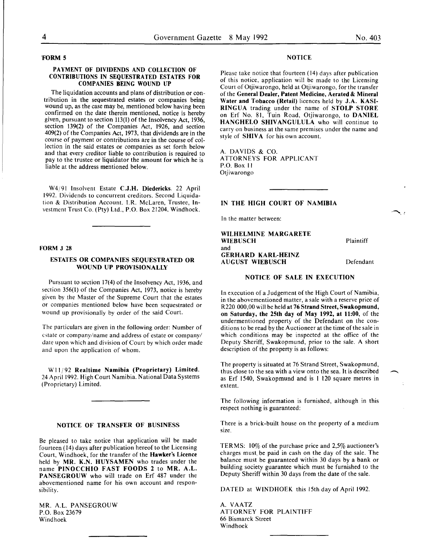#### 'FORM 5

#### PAYMENT OF DIVIDENDS AND COLLECTION OF CONTRIBUTIONS IN SEQUESTRATED ESTATES FOR COMPANIES BEING WOUND UP

The liquidation accounts and plans of distribution or contribution in the sequestrated estates or companies being wound up, as the case may be, mentioned below having been confirmed on the date therein mentioned, notice is hereby given, pursuant to section 113(1) of the Insolvency Act, 1936, section 139(2) of the Companies Act, 1926, and section 409(2) of the Companies Act, 1973, that dividends are in the course of payment or contributions are in the course of collection in the said estates or companies as set forth below and that every creditor liable to contribution is required to pay to the trustee or liquidator the amount for which he is liable at the address mentioned below.

W4/91 Insolvent Estate C.J.H. Diedericks. 22 April 1992. Dividends to concurrent creditors. Second Liquidation & Distribution Account. l.R. Mclaren, Trustee, Investment Trust Co. (Pty) Ltd., P.O. Box 21204, Windhoek.

#### FORM J 28

# ESTATES OR COMPANIES SEQUESTRATED OR WOUND UP PROVISIONALLY

Pursuant to section 17(4) of the Insolvency Act, 1936, and section 356(1) of the Companies Act, 1973, notice is hereby given by the Master of the Supreme Court that the estates or companies mentioned below have been sequestrated or wound up provisionally by order of the said Court.

The particulars are given in the following order: Number of estate or company/name and address of estate or company/ date upon which and division of Court by which order made and upon the application of whom.

W11/92 Realtime Namibia (Proprietary) Limited. 24 April 1992. High Court Namibia. National Data Systems (Proprietary) Limited.

#### NOTICE OF TRANSFER OF BUSINESS

Be pleased to take notice that application will be made fourteen (14) days after publication hereof to the Licensing Court, Windhoek, for the transfer of the Hawker's Licence held by MR. K.N. HUYSAMEN who trades under the name PINOCCHIO FAST FOODS 2 to MR. A.L. PANSEGROUW who will trade on Erf 487 under the abovementioned name for his own account and responsibility.

MR. A.L. PANSEGROUW P.O. Box 23679 Windhoek

### **NOTICE**

Please take notice that fourteen (14) days after publication of this notice, application will be made to the Licensing Court of Otjiwarongo, held at Otjiwarongo, for the transfer of the General Dealer, Patent Medicine, Aerated & Mineral Water and Tobacco (Retail) licences held by J.A. KASI-RINGUA trading under the name of STOLP STORE on Erf No. 81, Tuin Road, Otjiwarongo, to DANIEL HANGHELO SHIVANGULULA who will continue to carry on business at the same premises under the name and style of SHIVA for his own account.

A. DAVIDS & CO. ATTORNEYS FOR APPLICANT P.O. Box II Otjiwarongo

# IN THE HIGH COURT OF NAMIBIA

In the matter between:

WILHELMINE MARGARETE **WIEBUSCH** and GERHARD KARL-HEINZ AUGUST WIEBUSCH

Plaintiff

~-'

 $\overline{\phantom{a}}$ 

Defendant

# NOTICE OF SALE IN EXECUTION

In execution of a Judgement of the High Court of Namibia, in the abovementioned matter, a sale with a reserve price of R220 000,00 will be held at 76 Strand Street, Swakopmund, on Saturday, the 25th day of May 1992, at 11:00, of the undermentioned property of the Defendant on the conditions to be read by the Auctioneer at the time of the sale in which conditions may be inspected at the office of the Deputy Sheriff, Swakopmund, prior to the sale. A short description of the property is as follows:

The property is situated at 76 Strand Street, Swakopmund, thus close to the sea with a view onto the sea. It is described as Erf 1540, Swakopmund and is I 120 square metres in extent.

The following information is furnished, although in this respect nothing is guaranteed:

There is a brick-built house on the property of a medium size.

TERMS: 10% of the purchase price and 2,5% auctioneer's charges must. be paid in cash on the day of the sale. The balance must be guaranteed within 30 days by a bank or building society guarantee which must be furnished to the Deputy Sheriff within 30 days from the date of the sale.

DATED at WINDHOEK this 15th day of April 1992.

A. VAATZ ATTORNEY FOR PLAINTIFF 66 Bismarck Street Windhoek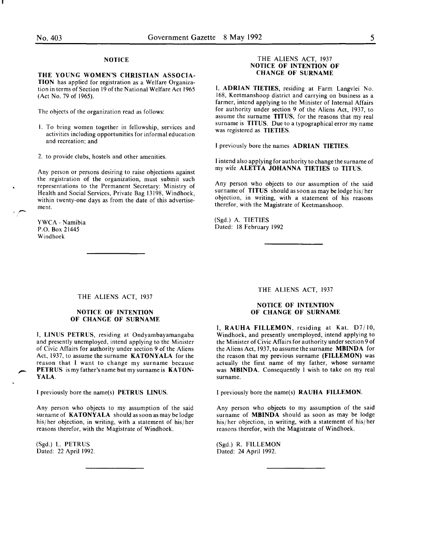# **NOTICE**

THE YOUNG WOMEN'S CHRISTIAN ASSOCIA-TION has applied for registration as a Welfare Organization in terms of Section 19 of the National Welfare Act 1965 (Act No. 79 of 1965).

The objects of the organization read as follows:

- I. To bring women together in fellowship, services and activities including opportunities for informal education and recreation; and
- 2. to provide clubs, hostels and other amenities.

Any person or persons desiring to raise objections against the registration of the organization, must submit such representations to the Permanent Secretary: Ministry of Health and Social Services, Private Bag 13198, Windhoek, within twenty-one days as from the date of this advertisement.

YWCA- Namibia P.O. Box 21445 Windhoek

.,-

## THE ALIENS ACT, 1937 NOTICE OF INTENTION OF CHANGE OF SURNAME

I, ADRIAN TIETIES, residing at Farm Langvlei No. 168, Keetmanshoop district and carrying on business as a farmer, intend applying to the Minister of Internal Affairs for authority under section 9 of the Aliens Act, 1937, to assume the surname TITUS, for the reasons that my real surname is TITUS. Due to a typographical error my name was registered as TIETIES.

I previously bore the names ADRIAN TIETIES.

I intend also applying for authority to change the surname of my wife ALETTA JOHANNA TIETIES to TITUS.

Any person who objects to our assumption of the said surname of TITUS should as soon as may be lodge his/ her objection, in writing, with a statement of his reasons therefor, with the Magistrate of Keetmanshoop.

(Sgd.) A. TIETIES Dated: 18 February 1992

#### THE ALIENS ACT, 1937

# NOTICE OF INTENTION OF CHANGE OF SURNAME

I, LINUS PETRUS, residing at Ondyambayamangaba and presently unemployed, intend applying to the Minister of Civic Affairs for authority under section 9 of the Aliens Act, 1937, to assume the surname KATONYALA for the reason that I want to change my surname because PETRUS is my father's name but my surname is KATON-YALA.

I previously bore the name(s) PETRUS LINUS.

Any person who objects to my assumption of the said surname of KATONYALA should as soon as may be lodge his/ her objection, in writing, with a statement of his/ her reasons therefor, with the Magistrate of Windhoek.

(Sgd.) L. PETRUS Dated: 22 April 1992. THE ALIENS ACT, 1937

# NOTICE OF INTENTION OF CHANGE OF SURNAME

I, RAUHA FILLEMON, residing at Kat. D7/IO, Windhoek, and presently unemployed, intend applying to the Minister of Civic Affairs for authority under section 9 of the Aliens Act, 1937, to assume the surname MBINDA for the reason that my previous surname (FILLEMON) was actually the first name of my father, whose surname was MBINDA. Consequently I wish to take on my real surname.

I previously bore the name(s) RAUHA FILLEMON.

Any person who objects to my assumption of the said surname of MBINDA should as soon as may be lodge his/ her objection, in writing, with a statement of his/ her reasons therefor, with the Magistrate of Windhoek.

(Sgd.) R. FILLEMON Dated: 24 April 1992.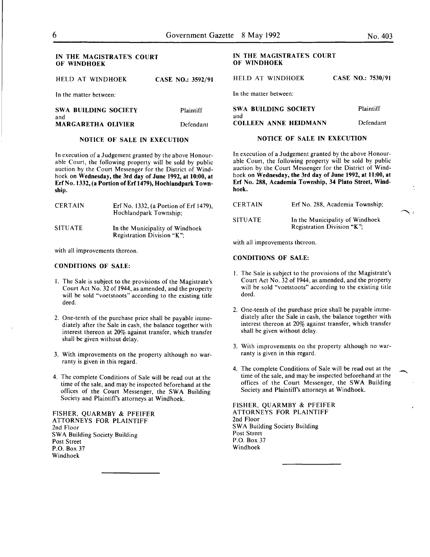# IN THE MAGISTRATE'S COURT OF WINDHOEK

HELD AT WINDHOEK CASE NO.: 35

In the matter between:

| <b>SWA BUILDING SOCIETY</b> | Plaintiff |
|-----------------------------|-----------|
| and                         |           |
| <b>MARGARETHA OLIVIER</b>   | Defendant |
|                             |           |

# NOTICE OF SALE IN EXECUTION

In execution of a Judgement granted by the above Honourable Court, the following property will be sold by public auction by the Court Messenger for the District of Windhoek on Wednesday, the 3rd day of June 1992, at 10:00, at Erf No. 1332, (a Portion of Erf 1479), Hochiandpark Township.

| <b>CERTAIN</b> | Erf No. 1332, (a Portion of Erf 1479),<br>Hochlandpark Township; |
|----------------|------------------------------------------------------------------|
| <b>SITUATE</b> | In the Municipality of Windhoek<br>Registration Division "K":    |

with all improvements thereon.

#### CONDITIONS OF SALE:

- I. The Sale is subject to the provisions of the Magistrate's Court Act No. 32 of 1944, as amended, and the property will be sold "voetstoots" according to the existing title deed.
- 2. One-tenth of the purchase price shall be payable immediately after the Sale in cash, the balance together with interest thereon at 20% against transfer, which transfer shall be given without delay.
- 3. With improvements on the property although no warranty is given in this regard.
- 4. The complete Conditions of Sale will be read out at the time of the sale, and may be inspected beforehand at the offices of the Court Messenger, the SWA Building Society and Plaintiffs attorneys at Windhoek.

FISHER, QUARMBY & PFEIFER ATTORNEYS FOR PLAINTIFF 2nd Floor SWA Building Society Building Post Street P.O. Box 37 Windhoek

# IN THE MAGISTRATE'S COURT OF WINDHOEK

| 592/91 | HELD AT WINDHOEK             | CASE NO.: 7530/91 |
|--------|------------------------------|-------------------|
|        | In the matter between:       |                   |
| iff    | SWA BUILDING SOCIETY<br>and  | Plaintiff         |
| dant   | <b>COLLEEN ANNE HEIDMANN</b> | Defendant         |

In execution of a Judgement granted by the above Honourable Court, the following property will be sold by public auction by the Court Messenger for the District of Windhoek on Wednesday, the 3rd day of June 1992, at 11:00, at

NOTICE OF SALE IN EXECUTION

| <b>CERTAIN</b> | Erf No. 288, Academia Township;                               |
|----------------|---------------------------------------------------------------|
| SITUATE        | In the Municipality of Windhoek<br>Registration Division "K": |

with all improvements thereon.

#### CONDITIONS OF SALE:

hoek.

- I. The Sale is subject to the provisions of the Magistrate's Court Act No. 32 of 1944, as amended, and the property will be sold "voetstoots" according to the existing title deed.
- 2. One-tenth of the purchase price shall be payable immediately after the Sale in cash, the balance together with interest thereon at 20% against transfer, which transfer shall be given without delay.
- 3. With improvements on the property although no warranty is given in this regard.
- 4. The complete Conditions of Sale will be read out at the time of the sale, and may be inspected beforehand at the offices of the Court Messenger, the SWA Building Society and Plaintiff's attorneys at Windhoek.

FISHER, QUARMBY & PFEIFER ATTORNEYS FOR PLAINTIFF 2nd Floor SWA Building Society Building Post Street P.O. Box 37 Windhoek

Erf No. 288, Academia Township, 34 Plato Street, Wind-